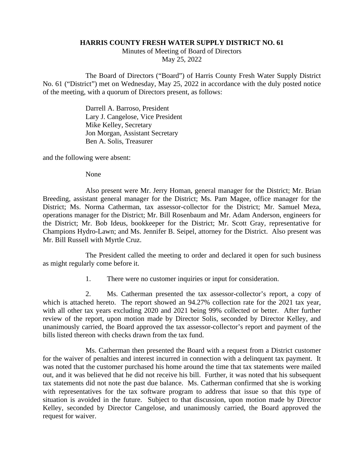## **HARRIS COUNTY FRESH WATER SUPPLY DISTRICT NO. 61**

Minutes of Meeting of Board of Directors May 25, 2022

The Board of Directors ("Board") of Harris County Fresh Water Supply District No. 61 ("District") met on Wednesday, May 25, 2022 in accordance with the duly posted notice of the meeting, with a quorum of Directors present, as follows:

> Darrell A. Barroso, President Lary J. Cangelose, Vice President Mike Kelley, Secretary Jon Morgan, Assistant Secretary Ben A. Solis, Treasurer

and the following were absent:

None

Also present were Mr. Jerry Homan, general manager for the District; Mr. Brian Breeding, assistant general manager for the District; Ms. Pam Magee, office manager for the District; Ms. Norma Catherman, tax assessor-collector for the District; Mr. Samuel Meza, operations manager for the District; Mr. Bill Rosenbaum and Mr. Adam Anderson, engineers for the District; Mr. Bob Ideus, bookkeeper for the District; Mr. Scott Gray, representative for Champions Hydro-Lawn; and Ms. Jennifer B. Seipel, attorney for the District. Also present was Mr. Bill Russell with Myrtle Cruz.

The President called the meeting to order and declared it open for such business as might regularly come before it.

1. There were no customer inquiries or input for consideration.

2. Ms. Catherman presented the tax assessor-collector's report, a copy of which is attached hereto. The report showed an 94.27% collection rate for the 2021 tax year, with all other tax years excluding 2020 and 2021 being 99% collected or better. After further review of the report, upon motion made by Director Solis, seconded by Director Kelley, and unanimously carried, the Board approved the tax assessor-collector's report and payment of the bills listed thereon with checks drawn from the tax fund.

Ms. Catherman then presented the Board with a request from a District customer for the waiver of penalties and interest incurred in connection with a delinquent tax payment. It was noted that the customer purchased his home around the time that tax statements were mailed out, and it was believed that he did not receive his bill. Further, it was noted that his subsequent tax statements did not note the past due balance. Ms. Catherman confirmed that she is working with representatives for the tax software program to address that issue so that this type of situation is avoided in the future. Subject to that discussion, upon motion made by Director Kelley, seconded by Director Cangelose, and unanimously carried, the Board approved the request for waiver.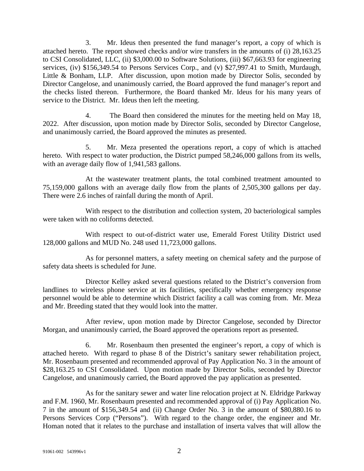3. Mr. Ideus then presented the fund manager's report, a copy of which is attached hereto. The report showed checks and/or wire transfers in the amounts of (i) 28,163.25 to CSI Consolidated, LLC, (ii) \$3,000.00 to Software Solutions, (iii) \$67,663.93 for engineering services, (iv) \$156,349.54 to Persons Services Corp., and (v) \$27,997.41 to Smith, Murdaugh, Little & Bonham, LLP. After discussion, upon motion made by Director Solis, seconded by Director Cangelose, and unanimously carried, the Board approved the fund manager's report and the checks listed thereon. Furthermore, the Board thanked Mr. Ideus for his many years of service to the District. Mr. Ideus then left the meeting.

4. The Board then considered the minutes for the meeting held on May 18, 2022. After discussion, upon motion made by Director Solis, seconded by Director Cangelose, and unanimously carried, the Board approved the minutes as presented.

5. Mr. Meza presented the operations report, a copy of which is attached hereto. With respect to water production, the District pumped 58,246,000 gallons from its wells, with an average daily flow of 1,941,583 gallons.

At the wastewater treatment plants, the total combined treatment amounted to 75,159,000 gallons with an average daily flow from the plants of 2,505,300 gallons per day. There were 2.6 inches of rainfall during the month of April.

With respect to the distribution and collection system, 20 bacteriological samples were taken with no coliforms detected.

With respect to out-of-district water use, Emerald Forest Utility District used 128,000 gallons and MUD No. 248 used 11,723,000 gallons.

As for personnel matters, a safety meeting on chemical safety and the purpose of safety data sheets is scheduled for June.

Director Kelley asked several questions related to the District's conversion from landlines to wireless phone service at its facilities, specifically whether emergency response personnel would be able to determine which District facility a call was coming from. Mr. Meza and Mr. Breeding stated that they would look into the matter.

After review, upon motion made by Director Cangelose, seconded by Director Morgan, and unanimously carried, the Board approved the operations report as presented.

6. Mr. Rosenbaum then presented the engineer's report, a copy of which is attached hereto. With regard to phase 8 of the District's sanitary sewer rehabilitation project, Mr. Rosenbaum presented and recommended approval of Pay Application No. 3 in the amount of \$28,163.25 to CSI Consolidated. Upon motion made by Director Solis, seconded by Director Cangelose, and unanimously carried, the Board approved the pay application as presented.

As for the sanitary sewer and water line relocation project at N. Eldridge Parkway and F.M. 1960, Mr. Rosenbaum presented and recommended approval of (i) Pay Application No. 7 in the amount of \$156,349.54 and (ii) Change Order No. 3 in the amount of \$80,880.16 to Persons Services Corp ("Persons"). With regard to the change order, the engineer and Mr. Homan noted that it relates to the purchase and installation of inserta valves that will allow the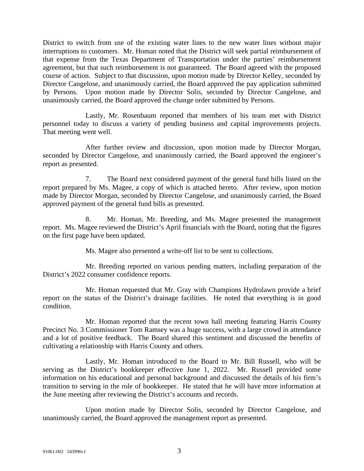District to switch from use of the existing water lines to the new water lines without major interruptions to customers. Mr. Homan noted that the District will seek partial reimbursement of that expense from the Texas Department of Transportation under the parties' reimbursement agreement, but that such reimbursement is not guaranteed. The Board agreed with the proposed course of action. Subject to that discussion, upon motion made by Director Kelley, seconded by Director Cangelose, and unanimously carried, the Board approved the pay application submitted by Persons. Upon motion made by Director Solis, seconded by Director Cangelose, and unanimously carried, the Board approved the change order submitted by Persons.

Lastly, Mr. Rosenbaum reported that members of his team met with District personnel today to discuss a variety of pending business and capital improvements projects. That meeting went well.

After further review and discussion, upon motion made by Director Morgan, seconded by Director Cangelose, and unanimously carried, the Board approved the engineer's report as presented.

7. The Board next considered payment of the general fund bills listed on the report prepared by Ms. Magee, a copy of which is attached hereto. After review, upon motion made by Director Morgan, seconded by Director Cangelose, and unanimously carried, the Board approved payment of the general fund bills as presented.

8. Mr. Homan, Mr. Breeding, and Ms. Magee presented the management report. Ms. Magee reviewed the District's April financials with the Board, noting that the figures on the first page have been updated.

Ms. Magee also presented a write-off list to be sent to collections.

Mr. Breeding reported on various pending matters, including preparation of the District's 2022 consumer confidence reports.

Mr. Homan requested that Mr. Gray with Champions Hydrolawn provide a brief report on the status of the District's drainage facilities. He noted that everything is in good condition.

Mr. Homan reported that the recent town hall meeting featuring Harris County Precinct No. 3 Commissioner Tom Ramsey was a huge success, with a large crowd in attendance and a lot of positive feedback. The Board shared this sentiment and discussed the benefits of cultivating a relationship with Harris County and others.

Lastly, Mr. Homan introduced to the Board to Mr. Bill Russell, who will be serving as the District's bookkeeper effective June 1, 2022. Mr. Russell provided some information on his educational and personal background and discussed the details of his firm's transition to serving in the role of bookkeeper. He stated that he will have more information at the June meeting after reviewing the District's accounts and records.

Upon motion made by Director Solis, seconded by Director Cangelose, and unanimously carried, the Board approved the management report as presented.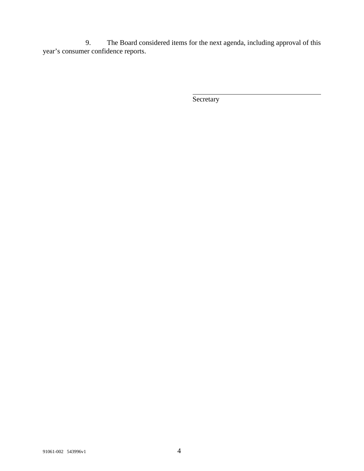9. The Board considered items for the next agenda, including approval of this year's consumer confidence reports.

**Secretary**